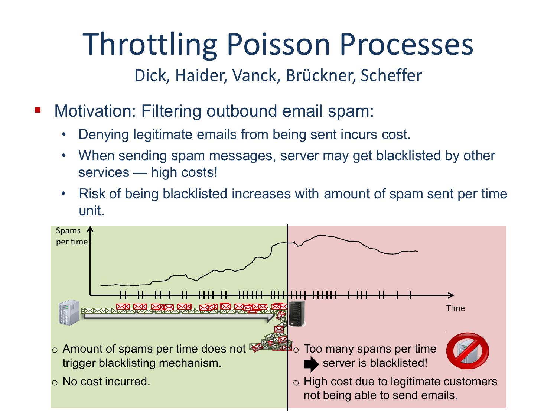Dick, Haider, Vanck, Brückner, Scheffer

- **Motivation: Filtering outbound email spam:** 
	- Denying legitimate emails from being sent incurs cost.
	- When sending spam messages, server may get blacklisted by other services — high costs!
	- Risk of being blacklisted increases with amount of spam sent per time unit.

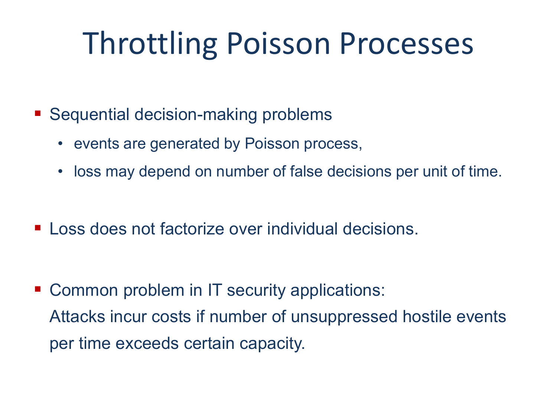- Sequential decision-making problems
	- events are generated by Poisson process,
	- loss may depend on number of false decisions per unit of time.
- **Loss does not factorize over individual decisions.**

■ Common problem in IT security applications: Attacks incur costs if number of unsuppressed hostile events per time exceeds certain capacity.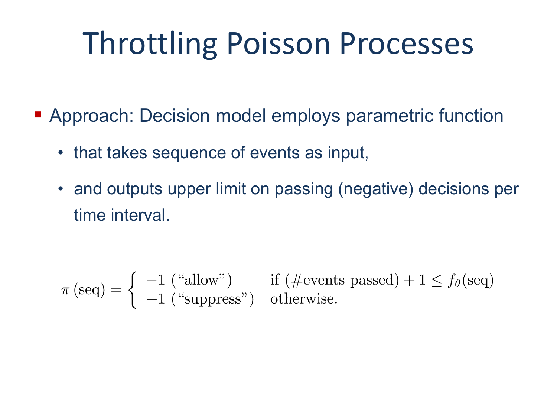- **Approach: Decision model employs parametric function** 
	- that takes sequence of events as input,
	- and outputs upper limit on passing (negative) decisions per time interval.

$$
\pi(\text{seq}) = \begin{cases}\n-1 \text{ ("allow")} & \text{if } (\text{\#events passed}) + 1 \le f_{\theta}(\text{seq}) \\
+1 \text{ ("suppress")} & \text{otherwise.}\n\end{cases}
$$